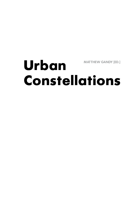## **Urban Constellations Matthew Gandy [Ed.]**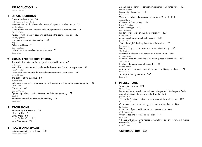#### **INTRODUCTION** 4

Matthew Gandy

#### **1 Urban lexicons**

Planetary urbanisation 10 Neil Brenner, Christian Schmid Between Marx and Deleuze: discourses of capitalism's urban future 14 Jennifer Robinson Class, nation and the changing political dynamics of european cities 18 Patrick Le Galès "Every revolution has its square": politicising the post-political city 22 Erik Swyngedouw Frontiers of urban political ecology 26 Roger Keil Otherworldliness 31 Benedikte Zitouni Urban intrusions: a reflection on subnature 35 David Gissen

#### **2 Crises and perturbations**

The work of architecture in the age of structured finance 42 Louis Moreno Vertical accumulation and accelerated urbanism: the East Asian experience 48 Hyun Bang Shin London for sale: towards the radical marketisation of urban space 54 Michael Edwards The politics of the *banlieue* 58 Mustafa Dikeç Splintered urbanisms: water, urban infrastructure, and the modern social imaginary 62 Karen Bakker Disruptions 65 Stephen Graham System city: urban amplification and inefficient engineering 71 Sarah Bell Zooneses: towards an urban epidemiology 75 Meike Wolf

#### **3 Excursions**

Koebberling & Kaltwasser 82 Martin Kohler 85 Ulrike Mohr 88 Laura Oldfield-Ford 92 Lara Almarcegui 96

#### **4 Places and spaces**

Urban complexity: an instance 100 AbdouMaliq Simone

Assembling modernities: concrete imaginations in Buenos Aires 103 Leandro Minuchin Lagos: city of concrete 108 Giles Omezi Vertical urbanisms: flyovers and skywalks in Mumbai 113 Andrew Harris Chennai as "cut-out" city 118 Pushpa Arabindoo Queer nostalgia 123 Johan Andersson London's Trellick Tower and the pastoral eye 127 Maren Harnack A configuration pregnant with tensions 132 Jane Rendell "Terror by night": bedbug infestations in London 139 Ben Campkin Dictators, dogs, and survival in a post-totalitarian city 145 Ger Duijzings Interstitial landscapes: reflections on a Berlin corner 149 Matthew Gandy Phantom limbs: Encountering the hidden spaces of West Berlin 153 Sandra Jasper Evictions: the experience of Liebig 14 158 Lucrezia Lennert A rough and charmless place: other spaces of history in Tel Aviv 163 Noam Leshem A footprint among the ruins 167 Karen E. Till

#### **5 Projections**

Traces and surfaces 174 Stephen Barber Faces, structures, words, and colours: collages and décollages of Berlin and other cities in the work of Pola Brändle 178 Joachim Schlör *Wonderful London:* silent-era travelogues and the walking tour 182 Karolina Kendall-Bush Chinatown, automobile driving, and the unknowable city 186 Iain Borden Intimations of past and future in the cinematic city 190 Mark Tewdwr-Jones Urban vistas and the civic imagination 194 Rebecca Ross "The sun will shine on the homes of the future": danish welfare architecture on a scale of 1:1 198 Claire Thomson

### **Contributors** 203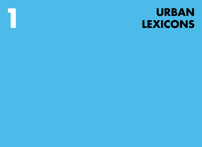# **URBAN** LEXICONS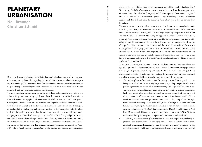## **Planetary Urbanisation**

**Neil Brenner Christian Schmid**

During the last several decades, the field of urban studies has been animated by an extraordinary outpouring of new ideas regarding the role of cities, urbanism, and urbanisation processes in ongoing global transformations.<sup>1</sup> Yet, despite these advances, the field continues to be grounded upon a mapping of human settlement space that was more plausible in the late nineteenth and early twentieth centuries than it is today.

The early twentieth century was a period in which large-scale industrial city-regions and suburbanising zones were being rapidly consolidated around the world in close conjunction with major demographic and socio-economic shifts in the erstwhile "countryside." Consequently, across diverse national contexts and linguistic traditions, the field of twentieth-century urban studies defined its theoretical categories and research object through a series of explicit or implied geographical contrasts. Even as debates raged regarding how best to define the specificity of urban life, the latter was universally demarcated in opposition to a purportedly "non-urban" zone, generally classified as "rural." As paradigms for theory and research evolved, labels changed for each term of this supposed urban-rural continuum, and so too did scholars' understandings of how best to conceptualise its basic elements and the nature of their articulation. For instance, the Anglo-American concept of the "suburb" and the French concept of *la banlieue* were introduced and popularised to demarcate

further socio-spatial differentiations that were occurring inside a rapidly urbanising field.<sup>2</sup> Nonetheless, the bulk of twentieth-century urban studies rested on the assumption that cities—or, later, "conurbations," "city-regions," "urban regions," "metropolitan regions," and "global city-regions"—represented a particular *type* of territory that was qualitatively specific, and thus different from the putatively "non-urban" spaces that lay beyond their boundaries.

The demarcations separating urban, suburban, and rural zones were recognised to shift historically, but the spaces themselves were assumed to remain discreet, distinct, and universal. While paradigmatic disagreements have raged regarding the precise nature of the city and the urban, the entire field has long presupposed the existence of a relatively stable, putatively "non-urban" realm as a "constitutive outside" for its epistemological and empirical operations. In short, across divergent theoretical and political perspectives—from the Chicago School's interventions in the 1920s, and the rise of the neo-Marxist "new urban sociology" and "radical geography" in the 1970s, to the debates on world cities and global cities in the 1980s and 1990s—the major traditions of twentieth-century urban studies embraced shared, largely uninterrogated geographical assumptions that were rooted in the late nineteenth and early twentieth centuries' geohistorical conditions in which this field of study was first established.

During the last thirty years, however, the form of urbanisation has been radically reconfigured, a process that has seriously called into question the inherited cartographies that have long underpinned urban theory and research. Aside from the dramatic spatial and demographic expansion of major mega-city regions, the last thirty years have also witnessed several far-reaching worldwide socio-spatial transformations.3 These include:

- The creation of new scales of urbanisation. Extensively urbanised interdependencies are being consolidated within extremely large, rapidly expanding, polynucleated metropolitan regions around the world to create sprawling "urban galaxies" that stretch beyond any single metropolitan region and often traverse multiple national boundaries. Such mega-scaled urban constellations have been conceptualised in diverse ways, and the representation of their contours and boundaries remains a focus of considerable research and debate.4 Their most prominent exemplars include, among others, the original Gottmannian megalopolis of "BosWash" (Boston-Washington DC) and the "blue banana" encompassing the major urbanised regions in western Europe, but also emergent formations such as "San San" (San Francisco-San Diego) in California, the Pearl River Delta in south China, the Lagos-centred littoral conurbation in West Africa, as well as several incipient mega-urban regions in Latin America and South Asia.
- The blurring and rearticulation of urban territories. Urbanisation processes are being regionalised and reterritorialised. Increasingly, former "central functions," such as shopping facilities, company headquarters, research institutions, prestigious cultural venues, as well as spectacular architectural forms, dense settlement patterns, and infrastructural